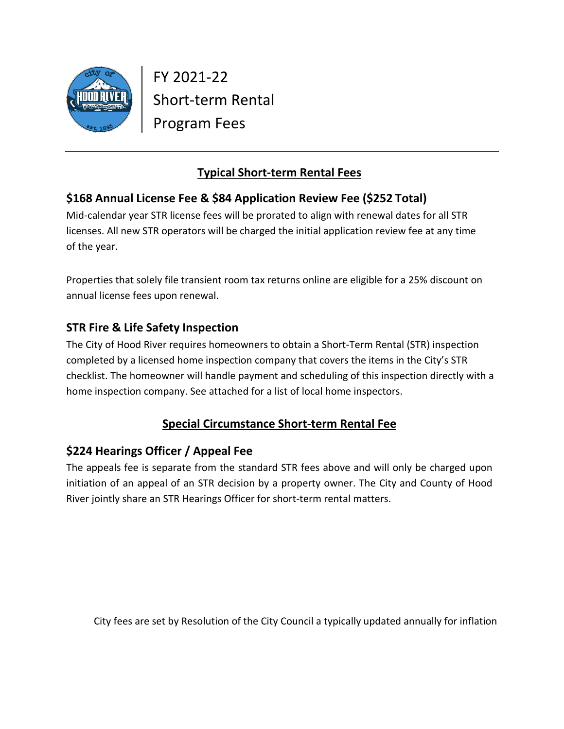

FY 2021-22 Short-term Rental Program Fees

# **Typical Short-term Rental Fees**

# **\$168 Annual License Fee & \$84 Application Review Fee (\$252 Total)**

Mid-calendar year STR license fees will be prorated to align with renewal dates for all STR licenses. All new STR operators will be charged the initial application review fee at any time of the year.

Properties that solely file transient room tax returns online are eligible for a 25% discount on annual license fees upon renewal.

## **STR Fire & Life Safety Inspection**

The City of Hood River requires homeowners to obtain a Short-Term Rental (STR) inspection completed by a licensed home inspection company that covers the items in the City's STR checklist. The homeowner will handle payment and scheduling of this inspection directly with a home inspection company. See attached for a list of local home inspectors.

# **Special Circumstance Short-term Rental Fee**

## **\$224 Hearings Officer / Appeal Fee**

The appeals fee is separate from the standard STR fees above and will only be charged upon initiation of an appeal of an STR decision by a property owner. The City and County of Hood River jointly share an STR Hearings Officer for short-term rental matters.

City fees are set by Resolution of the City Council a typically updated annually for inflation